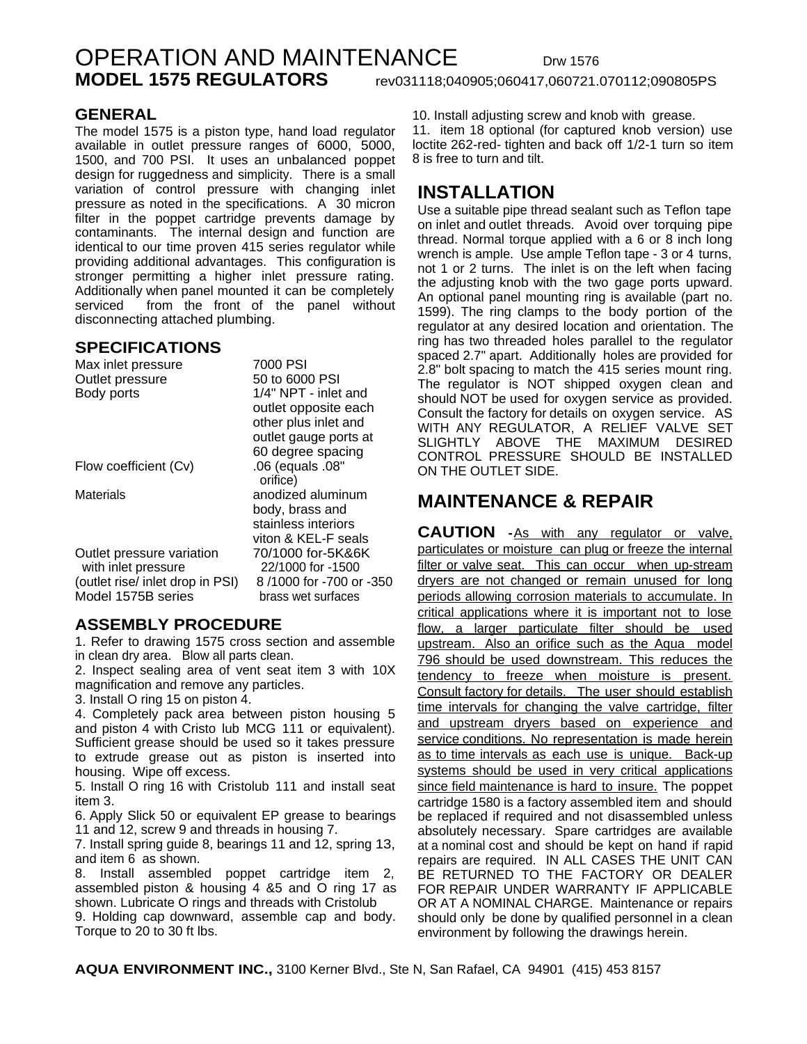# OPERATION AND MAINTENANCE Drw 1576 **MODEL 1575 REGULATORS** rev031118;040905;060417,060721.070112;090805PS

### **GENERAL**

The model 1575 is a piston type, hand load regulator available in outlet pressure ranges of 6000, 5000, 1500, and 700 PSI. It uses an unbalanced poppet design for ruggedness and simplicity. There is a small variation of control pressure with changing inlet pressure as noted in the specifications. A 30 micron filter in the poppet cartridge prevents damage by contaminants. The internal design and function are identical to our time proven 415 series regulator while providing additional advantages. This configuration is stronger permitting a higher inlet pressure rating. Additionally when panel mounted it can be completely serviced from the front of the panel without disconnecting attached plumbing.

#### **SPECIFICATIONS**

| Max inlet pressure               | 7000 PSI                     |
|----------------------------------|------------------------------|
| Outlet pressure                  | 50 to 6000 PSI               |
| Body ports                       | 1/4" NPT - inlet and         |
|                                  | outlet opposite each         |
|                                  | other plus inlet and         |
|                                  | outlet gauge ports at        |
|                                  | 60 degree spacing            |
| Flow coefficient (Cv)            | .06 (equals .08"<br>orifice) |
| Materials                        | anodized aluminum            |
|                                  | body, brass and              |
|                                  | stainless interiors          |
|                                  | viton & KEL-F seals          |
| Outlet pressure variation        | 70/1000 for-5K&6K            |
| with inlet pressure              | 22/1000 for -1500            |
| (outlet rise/ inlet drop in PSI) | 8/1000 for -700 or -350      |
| Model 1575B series               | brass wet surfaces           |
|                                  |                              |

### **ASSEMBLY PROCEDURE**

1. Refer to drawing 1575 cross section and assemble in clean dry area. Blow all parts clean.

2. Inspect sealing area of vent seat item 3 with 10X magnification and remove any particles.

3. Install O ring 15 on piston 4.

4. Completely pack area between piston housing 5 and piston 4 with Cristo lub MCG 111 or equivalent). Sufficient grease should be used so it takes pressure to extrude grease out as piston is inserted into housing. Wipe off excess.

5. Install O ring 16 with Cristolub 111 and install seat item 3.

6. Apply Slick 50 or equivalent EP grease to bearings 11 and 12, screw 9 and threads in housing 7.

7. Install spring guide 8, bearings 11 and 12, spring 13, and item 6 as shown.

8. Install assembled poppet cartridge item 2, assembled piston & housing 4 &5 and O ring 17 as shown. Lubricate O rings and threads with Cristolub

9. Holding cap downward, assemble cap and body. Torque to 20 to 30 ft lbs.

10. Install adjusting screw and knob with grease.

11. item 18 optional (for captured knob version) use loctite 262-red- tighten and back off 1/2-1 turn so item 8 is free to turn and tilt.

### **INSTALLATION**

Use a suitable pipe thread sealant such as Teflon tape on inlet and outlet threads. Avoid over torquing pipe thread. Normal torque applied with a 6 or 8 inch long wrench is ample. Use ample Teflon tape - 3 or 4 turns, not 1 or 2 turns. The inlet is on the left when facing the adjusting knob with the two gage ports upward. An optional panel mounting ring is available (part no. 1599). The ring clamps to the body portion of the regulator at any desired location and orientation. The ring has two threaded holes parallel to the regulator spaced 2.7" apart. Additionally holes are provided for 2.8" bolt spacing to match the 415 series mount ring. The regulator is NOT shipped oxygen clean and should NOT be used for oxygen service as provided. Consult the factory for details on oxygen service. AS WITH ANY REGULATOR, A RELIEF VALVE SET SLIGHTLY ABOVE THE MAXIMUM DESIRED CONTROL PRESSURE SHOULD BE INSTALLED ON THE OUTLET SIDE.

## **MAINTENANCE & REPAIR**

**CAUTION -**As with any regulator or valve, particulates or moisture can plug or freeze the internal filter or valve seat. This can occur when up-stream dryers are not changed or remain unused for long periods allowing corrosion materials to accumulate. In critical applications where it is important not to lose flow, a larger particulate filter should be used upstream. Also an orifice such as the Aqua model 796 should be used downstream. This reduces the tendency to freeze when moisture is present. Consult factory for details. The user should establish time intervals for changing the valve cartridge, filter and upstream dryers based on experience and service conditions. No representation is made herein as to time intervals as each use is unique. Back-up systems should be used in very critical applications since field maintenance is hard to insure. The poppet cartridge 1580 is a factory assembled item and should be replaced if required and not disassembled unless absolutely necessary. Spare cartridges are available at a nominal cost and should be kept on hand if rapid repairs are required. IN ALL CASES THE UNIT CAN BE RETURNED TO THE FACTORY OR DEALER FOR REPAIR UNDER WARRANTY IF APPLICABLE OR AT A NOMINAL CHARGE. Maintenance or repairs should only be done by qualified personnel in a clean environment by following the drawings herein.